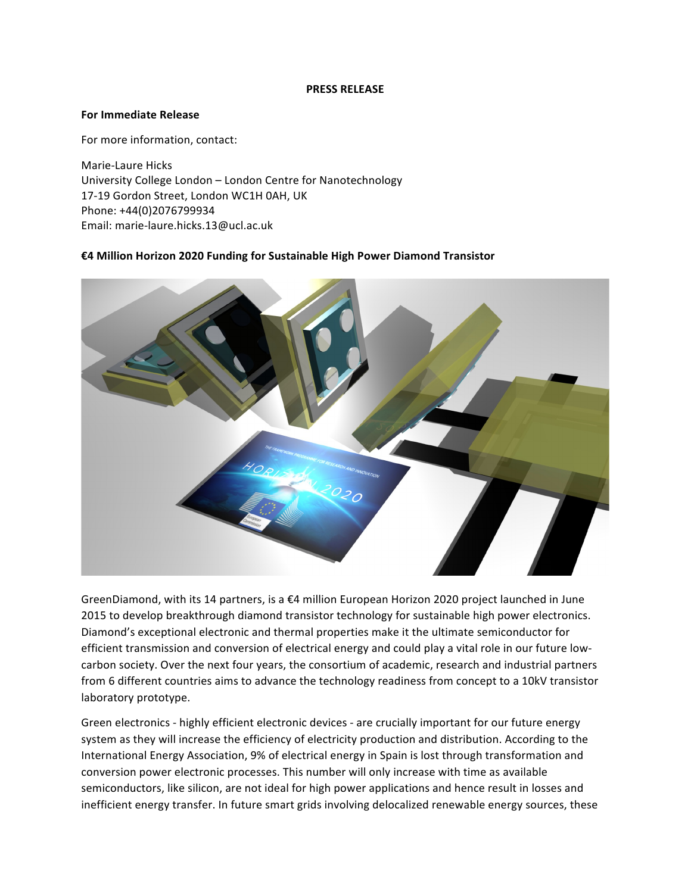## **PRESS RELEASE**

## **For Immediate Release**

For more information, contact:

Marie-Laure Hicks University College London - London Centre for Nanotechnology 17-19 Gordon Street, London WC1H 0AH, UK Phone: +44(0)2076799934 Email: marie-laure.hicks.13@ucl.ac.uk

## **€4 Million Horizon 2020 Funding for Sustainable High Power Diamond Transistor**



GreenDiamond, with its 14 partners, is a €4 million European Horizon 2020 project launched in June 2015 to develop breakthrough diamond transistor technology for sustainable high power electronics. Diamond's exceptional electronic and thermal properties make it the ultimate semiconductor for efficient transmission and conversion of electrical energy and could play a vital role in our future lowcarbon society. Over the next four years, the consortium of academic, research and industrial partners from 6 different countries aims to advance the technology readiness from concept to a 10kV transistor laboratory prototype.

Green electronics - highly efficient electronic devices - are crucially important for our future energy system as they will increase the efficiency of electricity production and distribution. According to the International Energy Association, 9% of electrical energy in Spain is lost through transformation and conversion power electronic processes. This number will only increase with time as available semiconductors, like silicon, are not ideal for high power applications and hence result in losses and inefficient energy transfer. In future smart grids involving delocalized renewable energy sources, these